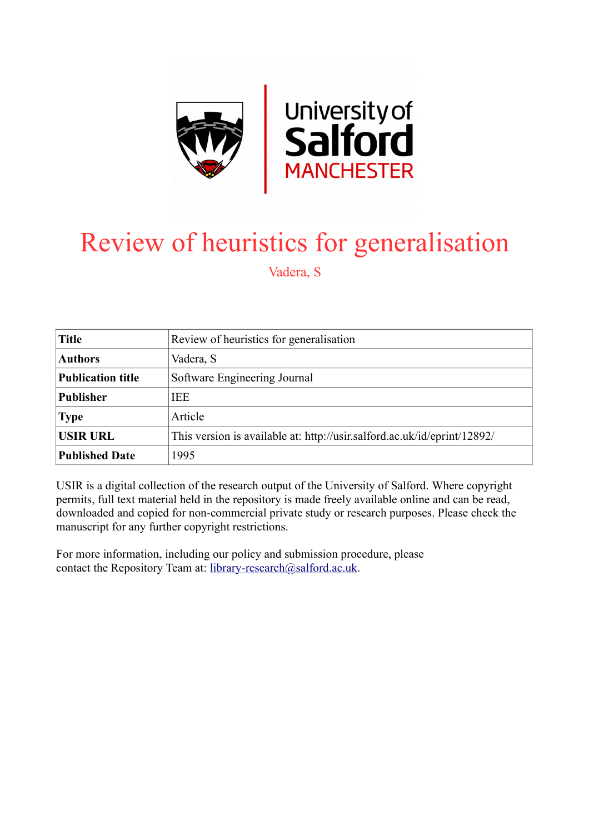

# Review of heuristics for generalisation

Vadera, S

| <b>Title</b>             | Review of heuristics for generalisation                                  |  |  |  |  |
|--------------------------|--------------------------------------------------------------------------|--|--|--|--|
| <b>Authors</b>           | Vadera, S                                                                |  |  |  |  |
| <b>Publication title</b> | Software Engineering Journal                                             |  |  |  |  |
| <b>Publisher</b>         | <b>IEE</b>                                                               |  |  |  |  |
| <b>Type</b>              | Article                                                                  |  |  |  |  |
| <b>USIR URL</b>          | This version is available at: http://usir.salford.ac.uk/id/eprint/12892/ |  |  |  |  |
| <b>Published Date</b>    | 1995                                                                     |  |  |  |  |

USIR is a digital collection of the research output of the University of Salford. Where copyright permits, full text material held in the repository is made freely available online and can be read, downloaded and copied for non-commercial private study or research purposes. Please check the manuscript for any further copyright restrictions.

For more information, including our policy and submission procedure, please contact the Repository Team at: [library-research@salford.ac.uk.](mailto:library-research@salford.ac.uk)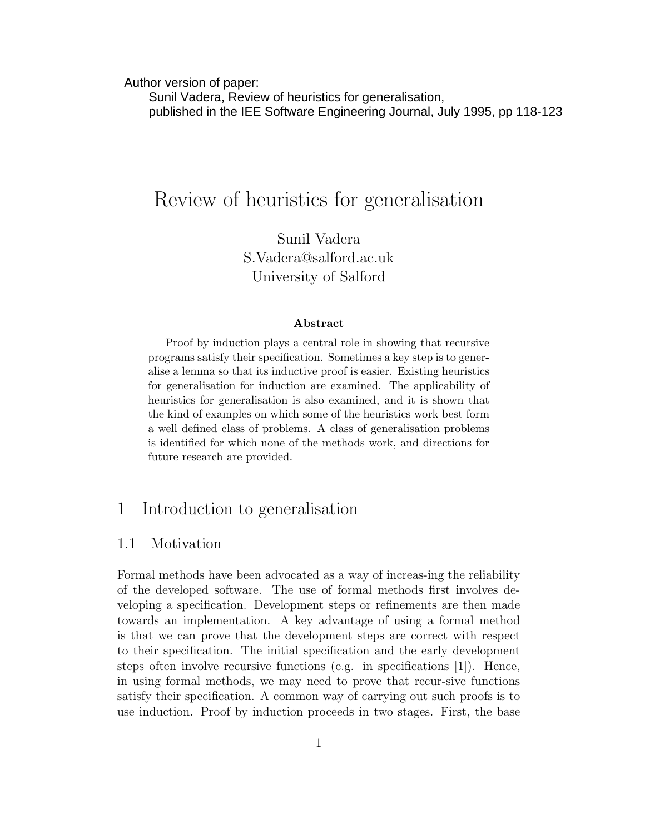Author version of paper:

 Sunil Vadera, Review of heuristics for generalisation, published in the IEE Software Engineering Journal, July 1995, pp 118-123

## Review of heuristics for generalisation

Sunil Vadera S.Vadera@salford.ac.uk University of Salford

#### Abstract

Proof by induction plays a central role in showing that recursive programs satisfy their specification. Sometimes a key step is to generalise a lemma so that its inductive proof is easier. Existing heuristics for generalisation for induction are examined. The applicability of heuristics for generalisation is also examined, and it is shown that the kind of examples on which some of the heuristics work best form a well defined class of problems. A class of generalisation problems is identified for which none of the methods work, and directions for future research are provided.

## 1 Introduction to generalisation

#### 1.1 Motivation

Formal methods have been advocated as a way of increas-ing the reliability of the developed software. The use of formal methods first involves developing a specification. Development steps or refinements are then made towards an implementation. A key advantage of using a formal method is that we can prove that the development steps are correct with respect to their specification. The initial specification and the early development steps often involve recursive functions (e.g. in specifications [1]). Hence, in using formal methods, we may need to prove that recur-sive functions satisfy their specification. A common way of carrying out such proofs is to use induction. Proof by induction proceeds in two stages. First, the base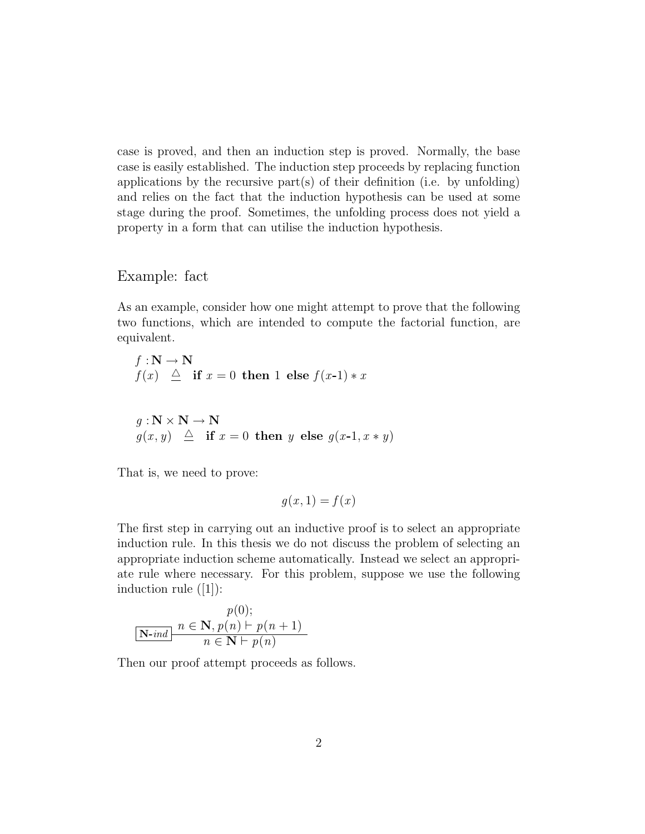case is proved, and then an induction step is proved. Normally, the base case is easily established. The induction step proceeds by replacing function applications by the recursive part(s) of their definition (i.e. by unfolding) and relies on the fact that the induction hypothesis can be used at some stage during the proof. Sometimes, the unfolding process does not yield a property in a form that can utilise the induction hypothesis.

#### Example: fact

As an example, consider how one might attempt to prove that the following two functions, which are intended to compute the factorial function, are equivalent.

$$
f: \mathbf{N} \to \mathbf{N}
$$
  

$$
f(x) \triangleq \text{if } x = 0 \text{ then } 1 \text{ else } f(x-1) * x
$$
  

$$
g: \mathbf{N} \times \mathbf{N} \to \mathbf{N}
$$
  

$$
g(x, y) \triangleq \text{if } x = 0 \text{ then } y \text{ else } g(x-1, x * y)
$$

That is, we need to prove:

$$
g(x,1) = f(x)
$$

The first step in carrying out an inductive proof is to select an appropriate induction rule. In this thesis we do not discuss the problem of selecting an appropriate induction scheme automatically. Instead we select an appropriate rule where necessary. For this problem, suppose we use the following induction rule ([1]):

$$
p(0);
$$
  

$$
n \in \mathbf{N}, p(n) \vdash p(n+1)
$$
  

$$
n \in \mathbf{N} \vdash p(n)
$$

Then our proof attempt proceeds as follows.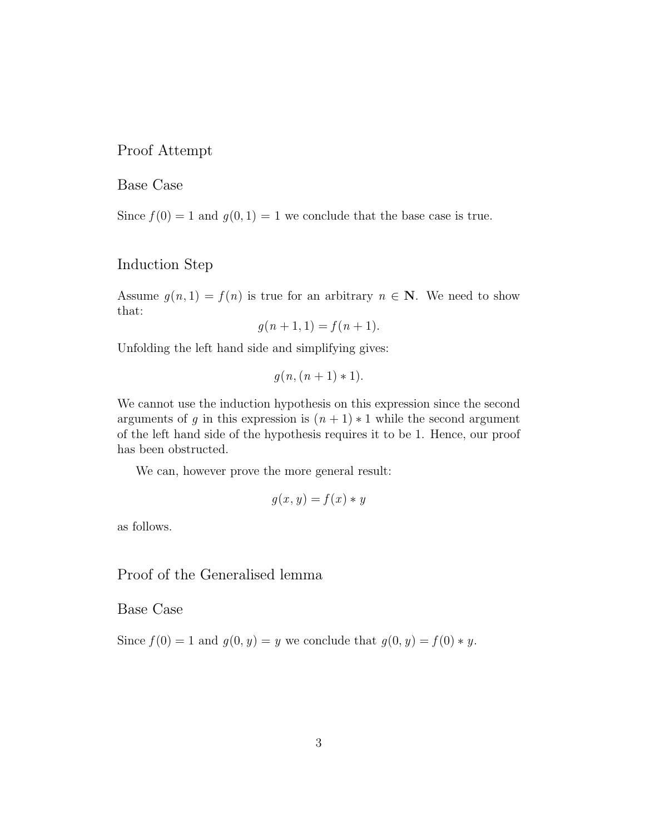#### Proof Attempt

#### Base Case

Since  $f(0) = 1$  and  $g(0, 1) = 1$  we conclude that the base case is true.

#### Induction Step

Assume  $g(n, 1) = f(n)$  is true for an arbitrary  $n \in \mathbb{N}$ . We need to show that:

$$
g(n + 1, 1) = f(n + 1).
$$

Unfolding the left hand side and simplifying gives:

$$
g(n,(n+1)*1).
$$

We cannot use the induction hypothesis on this expression since the second arguments of g in this expression is  $(n + 1) * 1$  while the second argument of the left hand side of the hypothesis requires it to be 1. Hence, our proof has been obstructed.

We can, however prove the more general result:

$$
g(x, y) = f(x) * y
$$

as follows.

## Proof of the Generalised lemma

Base Case

Since  $f(0) = 1$  and  $g(0, y) = y$  we conclude that  $g(0, y) = f(0) * y$ .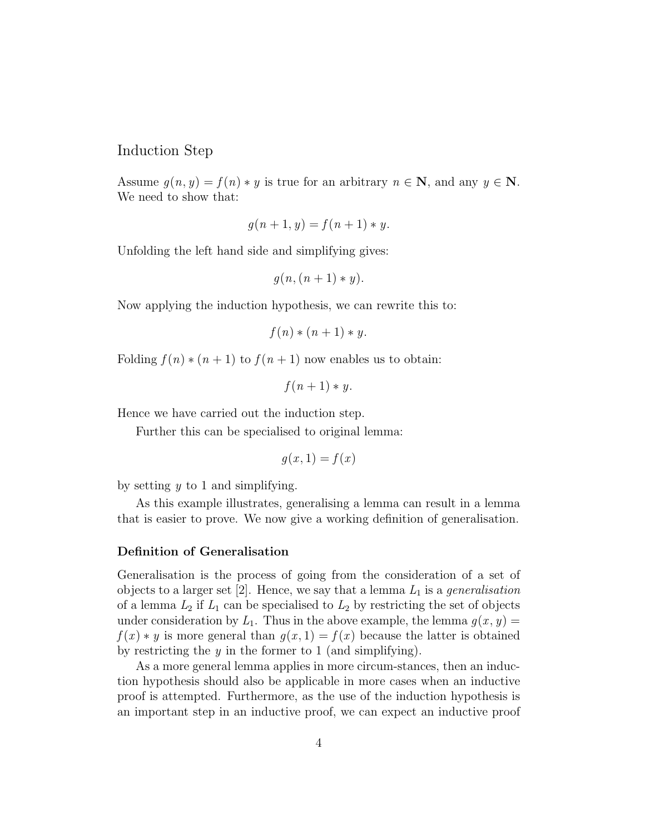#### Induction Step

Assume  $q(n, y) = f(n) * y$  is true for an arbitrary  $n \in \mathbb{N}$ , and any  $y \in \mathbb{N}$ . We need to show that:

$$
g(n + 1, y) = f(n + 1) * y.
$$

Unfolding the left hand side and simplifying gives:

$$
g(n,(n+1)*y).
$$

Now applying the induction hypothesis, we can rewrite this to:

$$
f(n) * (n+1) * y.
$$

Folding  $f(n) * (n+1)$  to  $f(n+1)$  now enables us to obtain:

$$
f(n+1) * y.
$$

Hence we have carried out the induction step.

Further this can be specialised to original lemma:

$$
g(x,1) = f(x)
$$

by setting  $y$  to 1 and simplifying.

As this example illustrates, generalising a lemma can result in a lemma that is easier to prove. We now give a working definition of generalisation.

#### Definition of Generalisation

Generalisation is the process of going from the consideration of a set of objects to a larger set [2]. Hence, we say that a lemma  $L_1$  is a *generalisation* of a lemma  $L_2$  if  $L_1$  can be specialised to  $L_2$  by restricting the set of objects under consideration by  $L_1$ . Thus in the above example, the lemma  $g(x, y) =$  $f(x) * y$  is more general than  $g(x, 1) = f(x)$  because the latter is obtained by restricting the  $y$  in the former to 1 (and simplifying).

As a more general lemma applies in more circum-stances, then an induction hypothesis should also be applicable in more cases when an inductive proof is attempted. Furthermore, as the use of the induction hypothesis is an important step in an inductive proof, we can expect an inductive proof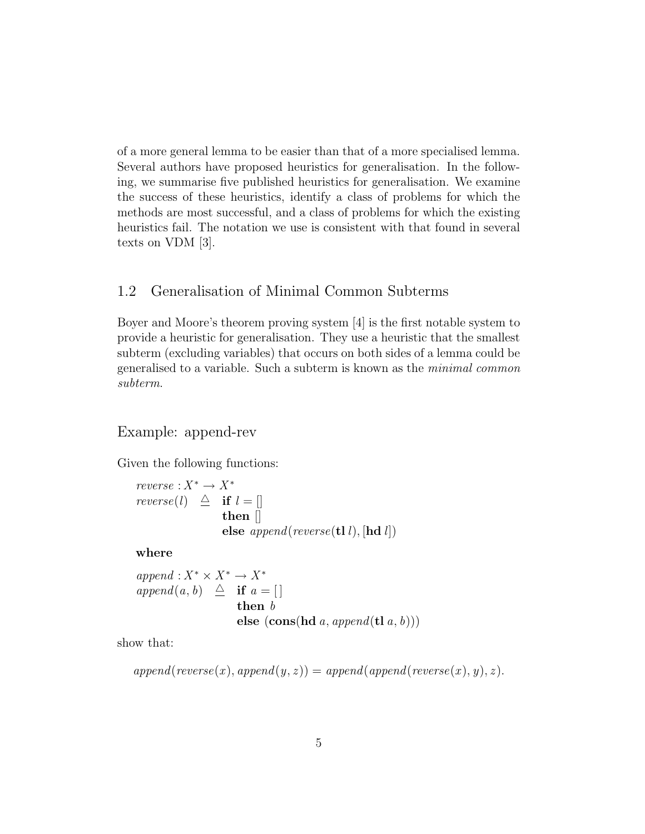of a more general lemma to be easier than that of a more specialised lemma. Several authors have proposed heuristics for generalisation. In the following, we summarise five published heuristics for generalisation. We examine the success of these heuristics, identify a class of problems for which the methods are most successful, and a class of problems for which the existing heuristics fail. The notation we use is consistent with that found in several texts on VDM [3].

## 1.2 Generalisation of Minimal Common Subterms

Boyer and Moore's theorem proving system [4] is the first notable system to provide a heuristic for generalisation. They use a heuristic that the smallest subterm (excluding variables) that occurs on both sides of a lemma could be generalised to a variable. Such a subterm is known as the minimal common subterm.

#### Example: append-rev

Given the following functions:

 $reverse: X^* \to X^*$ reverse(l)  $\triangleq$  if  $l = []$ then [] else  $append(reverse(\mathbf{tl} \,l), [\mathbf{hd} \, l])$ 

where

 $append: X^* \times X^* \rightarrow X^*$ append(a, b)  $\triangleq$  if  $a = []$ then b else  $(cons(hd a, append(tl a, b)))$ 

show that:

$$
append(reverse(x), append(y, z)) = append(append(reverse(x), y), z).
$$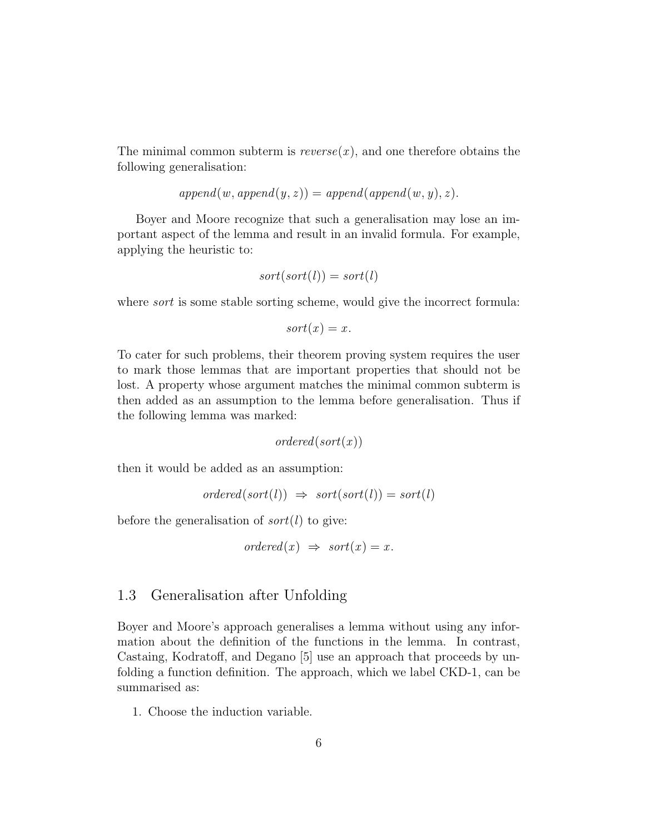The minimal common subterm is  $reverse(x)$ , and one therefore obtains the following generalisation:

$$
append(w, append(y,z)) = append(append(w,y),z).
$$

Boyer and Moore recognize that such a generalisation may lose an important aspect of the lemma and result in an invalid formula. For example, applying the heuristic to:

$$
sort(sort(l)) = sort(l)
$$

where *sort* is some stable sorting scheme, would give the incorrect formula:

$$
sort(x) = x.
$$

To cater for such problems, their theorem proving system requires the user to mark those lemmas that are important properties that should not be lost. A property whose argument matches the minimal common subterm is then added as an assumption to the lemma before generalisation. Thus if the following lemma was marked:

 $ordered(sort(x))$ 

then it would be added as an assumption:

$$
ordered(sort(l)) \Rightarrow sort(sort(l)) = sort(l)
$$

before the generalisation of  $sort(l)$  to give:

$$
ordered(x) \Rightarrow sort(x) = x.
$$

#### 1.3 Generalisation after Unfolding

Boyer and Moore's approach generalises a lemma without using any information about the definition of the functions in the lemma. In contrast, Castaing, Kodratoff, and Degano [5] use an approach that proceeds by unfolding a function definition. The approach, which we label CKD-1, can be summarised as:

1. Choose the induction variable.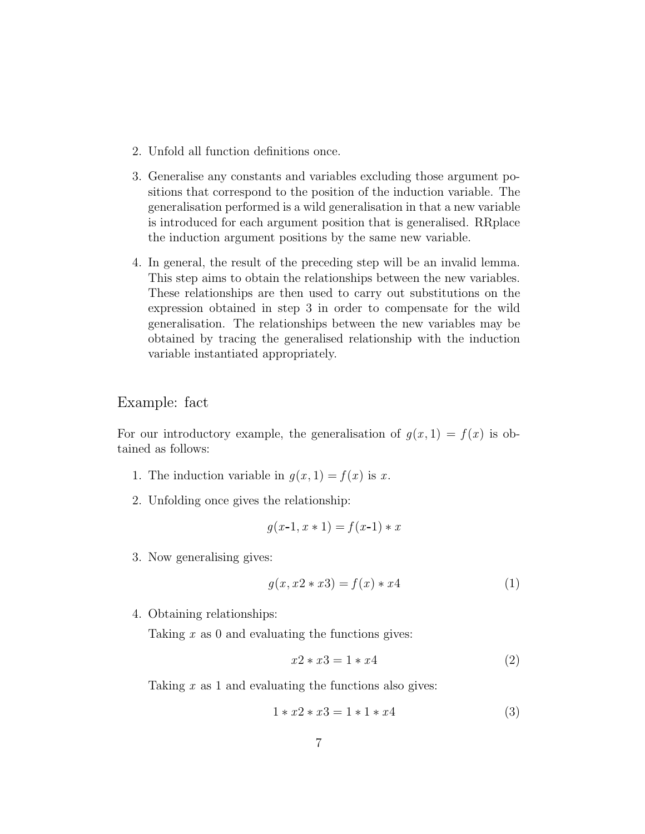- 2. Unfold all function definitions once.
- 3. Generalise any constants and variables excluding those argument positions that correspond to the position of the induction variable. The generalisation performed is a wild generalisation in that a new variable is introduced for each argument position that is generalised. RRplace the induction argument positions by the same new variable.
- 4. In general, the result of the preceding step will be an invalid lemma. This step aims to obtain the relationships between the new variables. These relationships are then used to carry out substitutions on the expression obtained in step 3 in order to compensate for the wild generalisation. The relationships between the new variables may be obtained by tracing the generalised relationship with the induction variable instantiated appropriately.

Example: fact

For our introductory example, the generalisation of  $g(x, 1) = f(x)$  is obtained as follows:

- 1. The induction variable in  $g(x, 1) = f(x)$  is x.
- 2. Unfolding once gives the relationship:

$$
g(x-1, x \ast 1) = f(x-1) \ast x
$$

3. Now generalising gives:

$$
g(x, x2 * x3) = f(x) * x4
$$
 (1)

4. Obtaining relationships:

Taking  $x$  as 0 and evaluating the functions gives:

$$
x2 * x3 = 1 * x4 \tag{2}
$$

Taking  $x$  as 1 and evaluating the functions also gives:

$$
1 * x2 * x3 = 1 * 1 * x4
$$
 (3)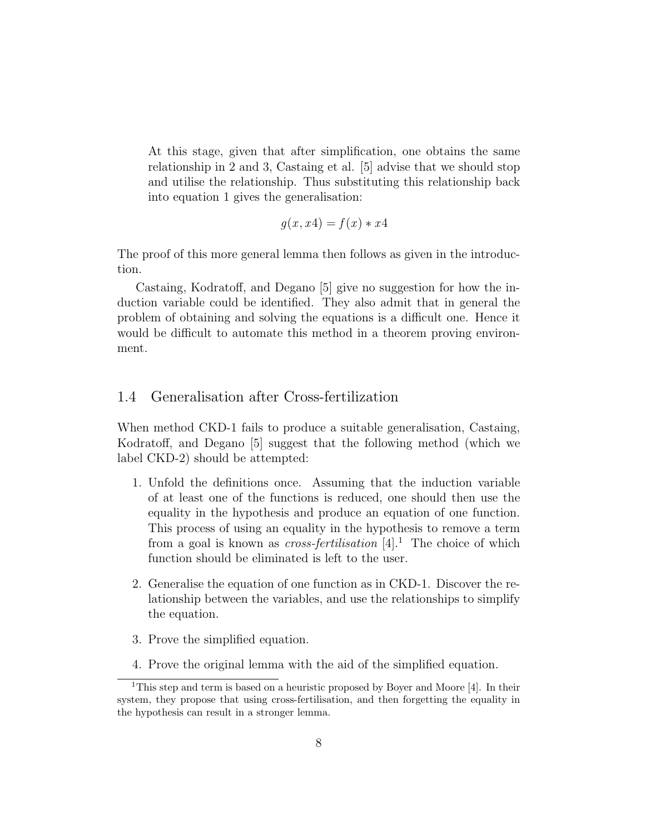At this stage, given that after simplification, one obtains the same relationship in 2 and 3, Castaing et al. [5] advise that we should stop and utilise the relationship. Thus substituting this relationship back into equation 1 gives the generalisation:

$$
g(x, x4) = f(x) * x4
$$

The proof of this more general lemma then follows as given in the introduction.

Castaing, Kodratoff, and Degano [5] give no suggestion for how the induction variable could be identified. They also admit that in general the problem of obtaining and solving the equations is a difficult one. Hence it would be difficult to automate this method in a theorem proving environment.

#### 1.4 Generalisation after Cross-fertilization

When method CKD-1 fails to produce a suitable generalisation, Castaing, Kodratoff, and Degano [5] suggest that the following method (which we label CKD-2) should be attempted:

- 1. Unfold the definitions once. Assuming that the induction variable of at least one of the functions is reduced, one should then use the equality in the hypothesis and produce an equation of one function. This process of using an equality in the hypothesis to remove a term from a goal is known as *cross-fertilisation*  $[4]$ <sup>1</sup>. The choice of which function should be eliminated is left to the user.
- 2. Generalise the equation of one function as in CKD-1. Discover the relationship between the variables, and use the relationships to simplify the equation.
- 3. Prove the simplified equation.
- 4. Prove the original lemma with the aid of the simplified equation.

<sup>&</sup>lt;sup>1</sup>This step and term is based on a heuristic proposed by Boyer and Moore [4]. In their system, they propose that using cross-fertilisation, and then forgetting the equality in the hypothesis can result in a stronger lemma.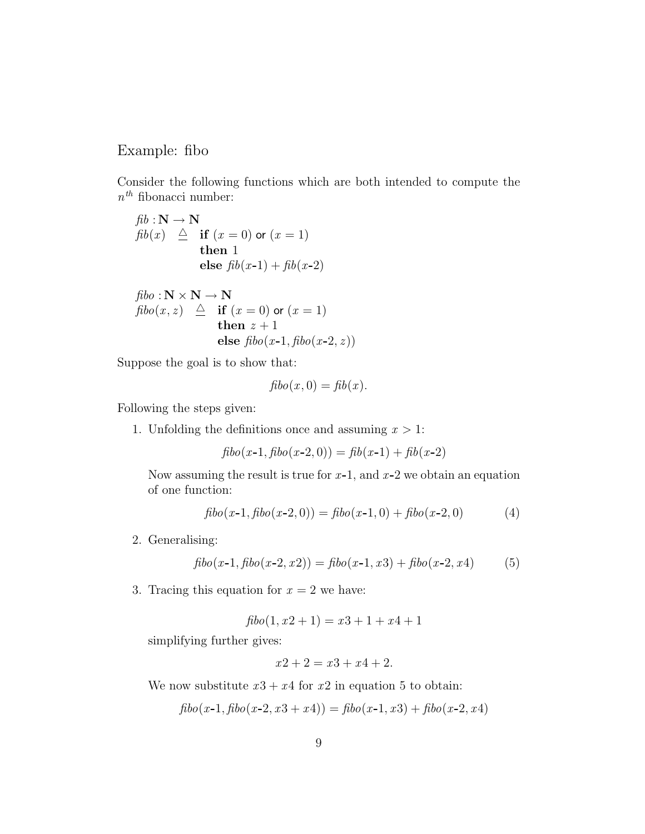#### Example: fibo

Consider the following functions which are both intended to compute the  $n^{th}$  fibonacci number:

$$
fib: \mathbf{N} \to \mathbf{N}
$$
  

$$
fib(x) \triangleq \text{if } (x = 0) \text{ or } (x = 1)
$$
  
**then 1**  
**else** 
$$
fib(x-1) + fib(x-2)
$$

$$
fibo: \mathbf{N} \times \mathbf{N} \to \mathbf{N}
$$
  
\n
$$
fibo(x, z) \triangleq \text{ if } (x = 0) \text{ or } (x = 1)
$$
  
\nthen  $z + 1$   
\nelse  $fibo(x-1, fibo(x-2, z))$ 

Suppose the goal is to show that:

$$
fibo(x,0) = fib(x).
$$

Following the steps given:

1. Unfolding the definitions once and assuming  $x > 1$ :

$$
fibo(x-1, fibo(x-2, 0)) = fib(x-1) + fib(x-2)
$$

Now assuming the result is true for  $x-1$ , and  $x-2$  we obtain an equation of one function:

$$
fibo(x-1, fibo(x-2, 0)) = fibo(x-1, 0) + fibo(x-2, 0)
$$
\n(4)

2. Generalising:

$$
fibo(x-1, fibo(x-2, x2)) = fibo(x-1, x3) + fibo(x-2, x4)
$$
 (5)

3. Tracing this equation for  $x = 2$  we have:

$$
fibo(1, x2 + 1) = x3 + 1 + x4 + 1
$$

simplifying further gives:

$$
x2 + 2 = x3 + x4 + 2.
$$

We now substitute  $x3 + x4$  for  $x2$  in equation 5 to obtain:

$$
fibo(x-1, fibo(x-2, x3+x4)) = fibo(x-1, x3) + fibo(x-2, x4)
$$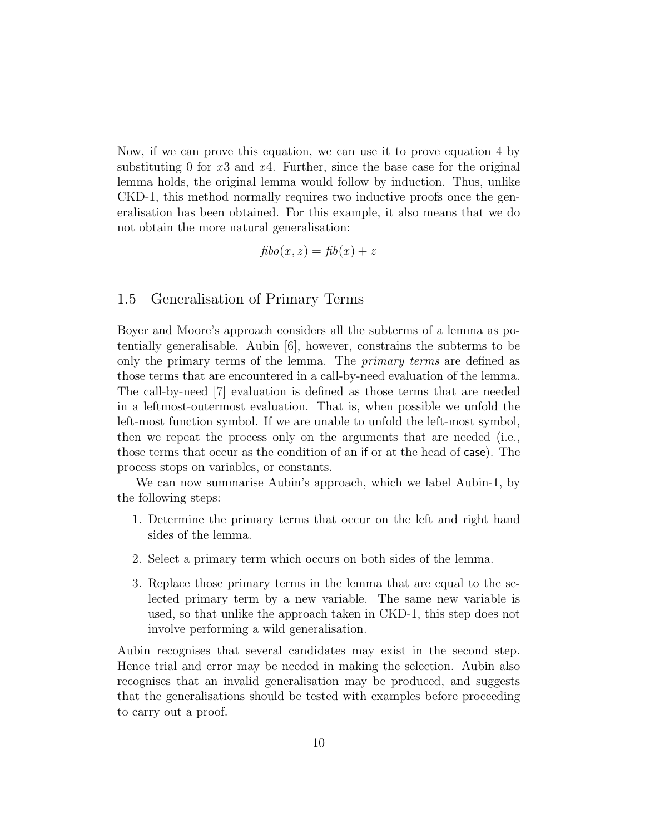Now, if we can prove this equation, we can use it to prove equation 4 by substituting 0 for  $x3$  and  $x4$ . Further, since the base case for the original lemma holds, the original lemma would follow by induction. Thus, unlike CKD-1, this method normally requires two inductive proofs once the generalisation has been obtained. For this example, it also means that we do not obtain the more natural generalisation:

$$
f\mathbf{b}o(x,z) = f\mathbf{b}(x) + z
$$

#### 1.5 Generalisation of Primary Terms

Boyer and Moore's approach considers all the subterms of a lemma as potentially generalisable. Aubin [6], however, constrains the subterms to be only the primary terms of the lemma. The primary terms are defined as those terms that are encountered in a call-by-need evaluation of the lemma. The call-by-need [7] evaluation is defined as those terms that are needed in a leftmost-outermost evaluation. That is, when possible we unfold the left-most function symbol. If we are unable to unfold the left-most symbol, then we repeat the process only on the arguments that are needed (i.e., those terms that occur as the condition of an if or at the head of case). The process stops on variables, or constants.

We can now summarise Aubin's approach, which we label Aubin-1, by the following steps:

- 1. Determine the primary terms that occur on the left and right hand sides of the lemma.
- 2. Select a primary term which occurs on both sides of the lemma.
- 3. Replace those primary terms in the lemma that are equal to the selected primary term by a new variable. The same new variable is used, so that unlike the approach taken in CKD-1, this step does not involve performing a wild generalisation.

Aubin recognises that several candidates may exist in the second step. Hence trial and error may be needed in making the selection. Aubin also recognises that an invalid generalisation may be produced, and suggests that the generalisations should be tested with examples before proceeding to carry out a proof.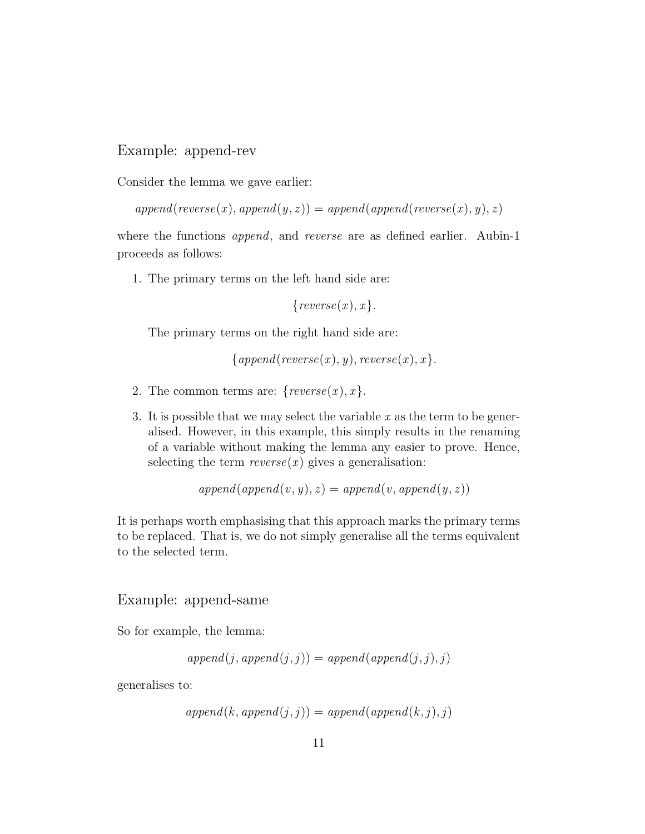#### Example: append-rev

Consider the lemma we gave earlier:

 $append(reverse(x), append(y, z)) = append(append(reverse(x), y), z)$ 

where the functions *append*, and *reverse* are as defined earlier. Aubin-1 proceeds as follows:

1. The primary terms on the left hand side are:

 ${reverse(x),x}.$ 

The primary terms on the right hand side are:

```
{append}(reverse(x), y), reverse(x), x}.
```
- 2. The common terms are:  $\{reverse(x),x\}$ .
- 3. It is possible that we may select the variable  $x$  as the term to be generalised. However, in this example, this simply results in the renaming of a variable without making the lemma any easier to prove. Hence, selecting the term  $reverse(x)$  gives a generalisation:

$$
append(append(v, y), z) = append(v, append(y, z))
$$

It is perhaps worth emphasising that this approach marks the primary terms to be replaced. That is, we do not simply generalise all the terms equivalent to the selected term.

#### Example: append-same

So for example, the lemma:

$$
append(j, append(j, j)) = append(append(j, j), j)
$$

generalises to:

$$
append(k, append(j, j)) = append(append(k, j), j)
$$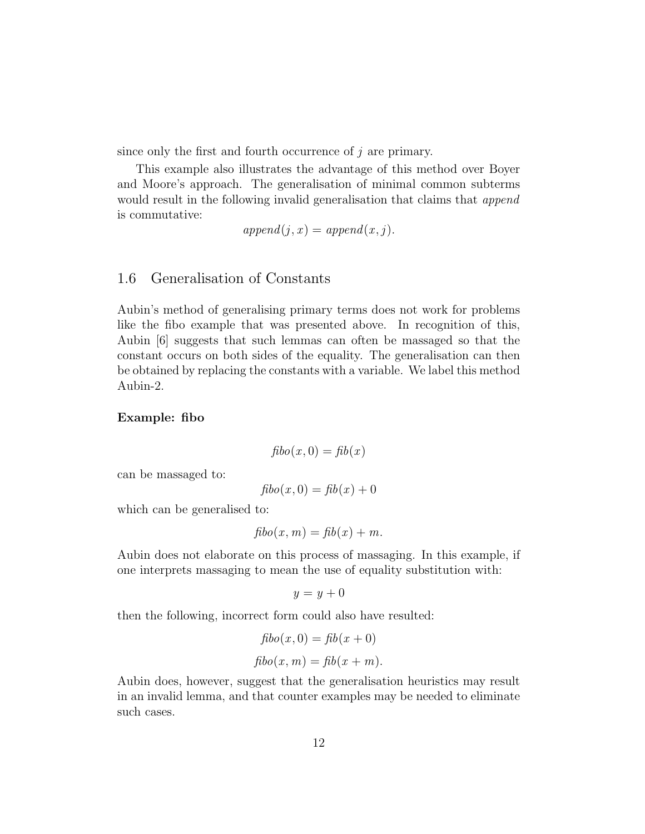since only the first and fourth occurrence of  $j$  are primary.

This example also illustrates the advantage of this method over Boyer and Moore's approach. The generalisation of minimal common subterms would result in the following invalid generalisation that claims that *append* is commutative:

$$
append(j, x) = append(x, j).
$$

#### 1.6 Generalisation of Constants

Aubin's method of generalising primary terms does not work for problems like the fibo example that was presented above. In recognition of this, Aubin [6] suggests that such lemmas can often be massaged so that the constant occurs on both sides of the equality. The generalisation can then be obtained by replacing the constants with a variable. We label this method Aubin-2.

#### Example: fibo

$$
f\mathbf{b}o(x,0) = \mathbf{f}\mathbf{b}(x)
$$

can be massaged to:

$$
f\mathbf{b}o(x,0) = f\mathbf{b}(x) + 0
$$

which can be generalised to:

$$
fibo(x, m) = fib(x) + m.
$$

Aubin does not elaborate on this process of massaging. In this example, if one interprets massaging to mean the use of equality substitution with:

$$
y = y + 0
$$

then the following, incorrect form could also have resulted:

$$
fibo(x, 0) = fib(x + 0)
$$

$$
fibo(x, m) = fib(x + m).
$$

Aubin does, however, suggest that the generalisation heuristics may result in an invalid lemma, and that counter examples may be needed to eliminate such cases.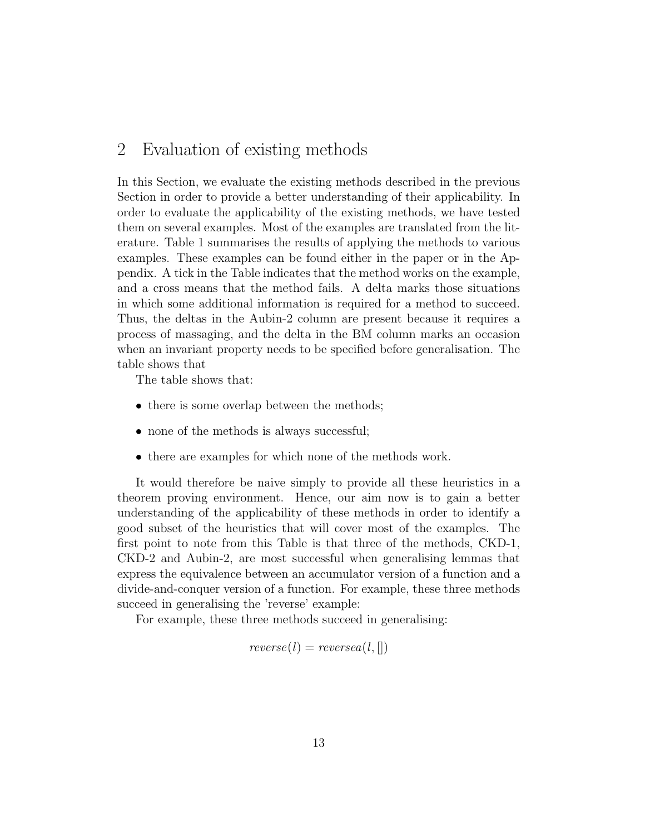## 2 Evaluation of existing methods

In this Section, we evaluate the existing methods described in the previous Section in order to provide a better understanding of their applicability. In order to evaluate the applicability of the existing methods, we have tested them on several examples. Most of the examples are translated from the literature. Table 1 summarises the results of applying the methods to various examples. These examples can be found either in the paper or in the Appendix. A tick in the Table indicates that the method works on the example, and a cross means that the method fails. A delta marks those situations in which some additional information is required for a method to succeed. Thus, the deltas in the Aubin-2 column are present because it requires a process of massaging, and the delta in the BM column marks an occasion when an invariant property needs to be specified before generalisation. The table shows that

The table shows that:

- there is some overlap between the methods;
- none of the methods is always successful;
- there are examples for which none of the methods work.

It would therefore be naive simply to provide all these heuristics in a theorem proving environment. Hence, our aim now is to gain a better understanding of the applicability of these methods in order to identify a good subset of the heuristics that will cover most of the examples. The first point to note from this Table is that three of the methods, CKD-1, CKD-2 and Aubin-2, are most successful when generalising lemmas that express the equivalence between an accumulator version of a function and a divide-and-conquer version of a function. For example, these three methods succeed in generalising the 'reverse' example:

For example, these three methods succeed in generalising:

$$
reverse(l) = reversea(l, [])
$$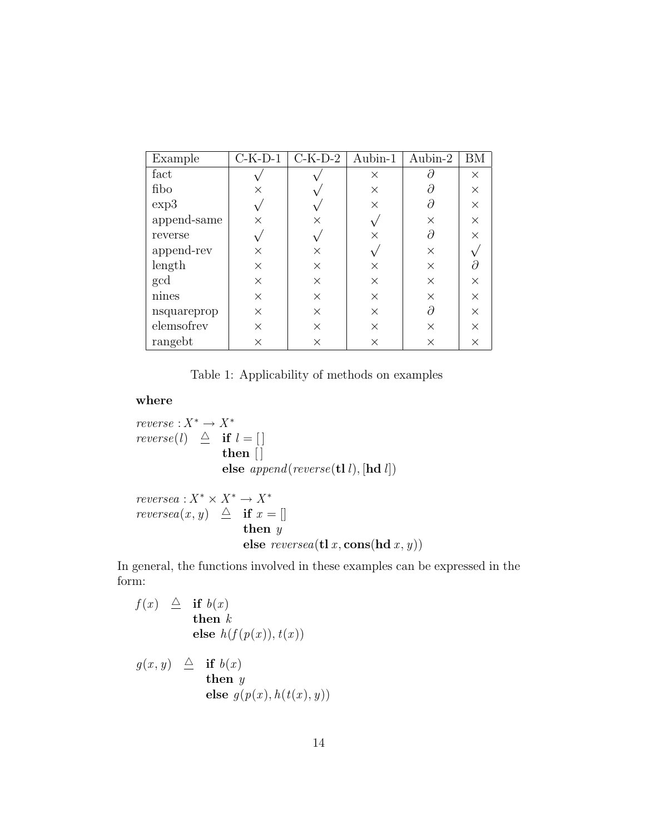| Example     | $C-K-D-1$ | $C-K-D-2$ | Aubin-1  | Aubin-2  | ΒM       |
|-------------|-----------|-----------|----------|----------|----------|
| fact        |           |           | X        |          | X        |
| fibo        | ×         |           | $\times$ |          | $\times$ |
| exp3        |           |           | $\times$ |          | $\times$ |
| append-same | ×         | ×         |          | $\times$ | $\times$ |
| reverse     |           |           | X        | Э        | $\times$ |
| append-rev  | ×         | X         |          | $\times$ |          |
| length      | $\times$  | $\times$  | X        | $\times$ |          |
| gcd         | $\times$  | X         | $\times$ | $\times$ | $\times$ |
| nines       | $\times$  | X         | X        | $\times$ | $\times$ |
| nsquareprop | $\times$  | X         | X        | д        | $\times$ |
| elemsofrev  | X         | $\times$  | X        | $\times$ | $\times$ |
| rangebt     | $\times$  | X         | X        | $\times$ | $\times$ |

Table 1: Applicability of methods on examples

#### where

 $reverse: X^* \to X^*$ reverse(l)  $\triangleq$  if  $l = []$ then  $|$ else  $append(reverse(\mathbf{tl} \, l), [\mathbf{hd} \, l])$ 

 $reversea: X^* \times X^* \to X^*$ reversea $(x, y) \triangleq$  if  $x = []$ then y else  $reversea(t1 x, cons(hd x, y))$ 

In general, the functions involved in these examples can be expressed in the form:

$$
f(x) \triangleq \textbf{if } b(x) \n \textbf{then } k \n \textbf{else } h(f(p(x)), t(x))
$$

$$
g(x, y) \triangleq \textbf{if } b(x) \n\textbf{then } y \n\textbf{else } g(p(x), h(t(x), y))
$$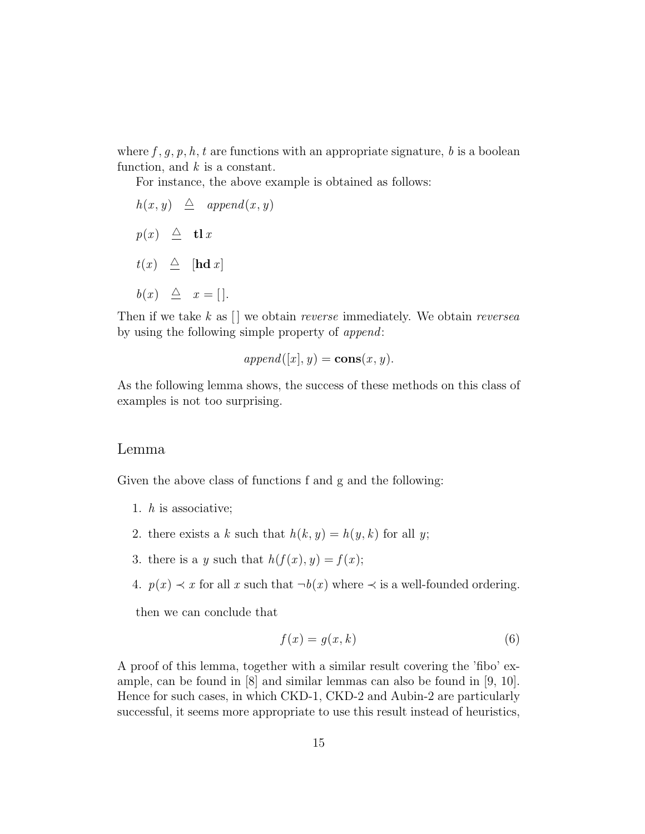where f, g, p, h, t are functions with an appropriate signature, b is a boolean function, and  $k$  is a constant.

For instance, the above example is obtained as follows:

 $h(x, y) \triangleq append(x, y)$  $p(x) \triangleq$  tl x  $t(x) \triangleq$  [hd x]  $b(x) \triangleq x = [$ .

Then if we take  $k$  as  $\lfloor \cdot \rfloor$  we obtain *reverse* immediately. We obtain *reversea* by using the following simple property of append:

$$
append([x], y) = cons(x, y).
$$

As the following lemma shows, the success of these methods on this class of examples is not too surprising.

#### Lemma

Given the above class of functions f and g and the following:

- 1. h is associative;
- 2. there exists a k such that  $h(k, y) = h(y, k)$  for all y;
- 3. there is a y such that  $h(f(x), y) = f(x);$
- 4.  $p(x) \prec x$  for all x such that  $\neg b(x)$  where  $\prec$  is a well-founded ordering.

then we can conclude that

$$
f(x) = g(x, k) \tag{6}
$$

A proof of this lemma, together with a similar result covering the 'fibo' example, can be found in [8] and similar lemmas can also be found in [9, 10]. Hence for such cases, in which CKD-1, CKD-2 and Aubin-2 are particularly successful, it seems more appropriate to use this result instead of heuristics,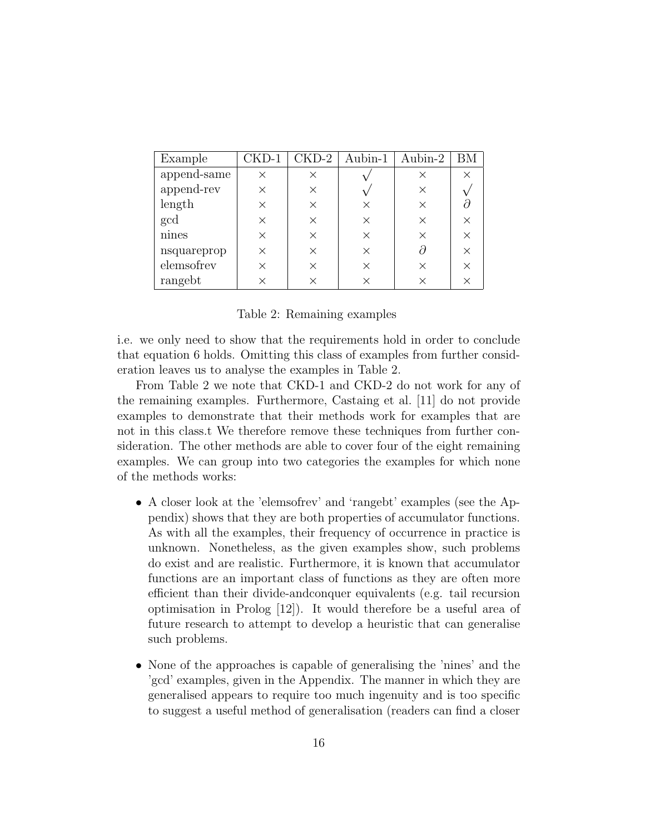| Example     | $CKD-1$  | $\rm{CKD-2}$ | Aubin-1  | Aubin-2 |  |
|-------------|----------|--------------|----------|---------|--|
| append-same | $\times$ | ×            |          | ×       |  |
| append-rev  | $\times$ | ×            |          | ×       |  |
| length      | $\times$ | $\times$     | $\times$ |         |  |
| gcd         | $\times$ | $\times$     | $\times$ |         |  |
| nines       | $\times$ | $\times$     | $\times$ |         |  |
| nsquareprop | $\times$ | $\times$     | $\times$ |         |  |
| elemsofrev  | $\times$ | ×            | ×        |         |  |
| rangebt     | $\times$ | $\times$     | ×        |         |  |

Table 2: Remaining examples

i.e. we only need to show that the requirements hold in order to conclude that equation 6 holds. Omitting this class of examples from further consideration leaves us to analyse the examples in Table 2.

From Table 2 we note that CKD-1 and CKD-2 do not work for any of the remaining examples. Furthermore, Castaing et al. [11] do not provide examples to demonstrate that their methods work for examples that are not in this class.t We therefore remove these techniques from further consideration. The other methods are able to cover four of the eight remaining examples. We can group into two categories the examples for which none of the methods works:

- A closer look at the 'elemsofrev' and 'rangebt' examples (see the Appendix) shows that they are both properties of accumulator functions. As with all the examples, their frequency of occurrence in practice is unknown. Nonetheless, as the given examples show, such problems do exist and are realistic. Furthermore, it is known that accumulator functions are an important class of functions as they are often more efficient than their divide-andconquer equivalents (e.g. tail recursion optimisation in Prolog [12]). It would therefore be a useful area of future research to attempt to develop a heuristic that can generalise such problems.
- None of the approaches is capable of generalising the 'nines' and the 'gcd' examples, given in the Appendix. The manner in which they are generalised appears to require too much ingenuity and is too specific to suggest a useful method of generalisation (readers can find a closer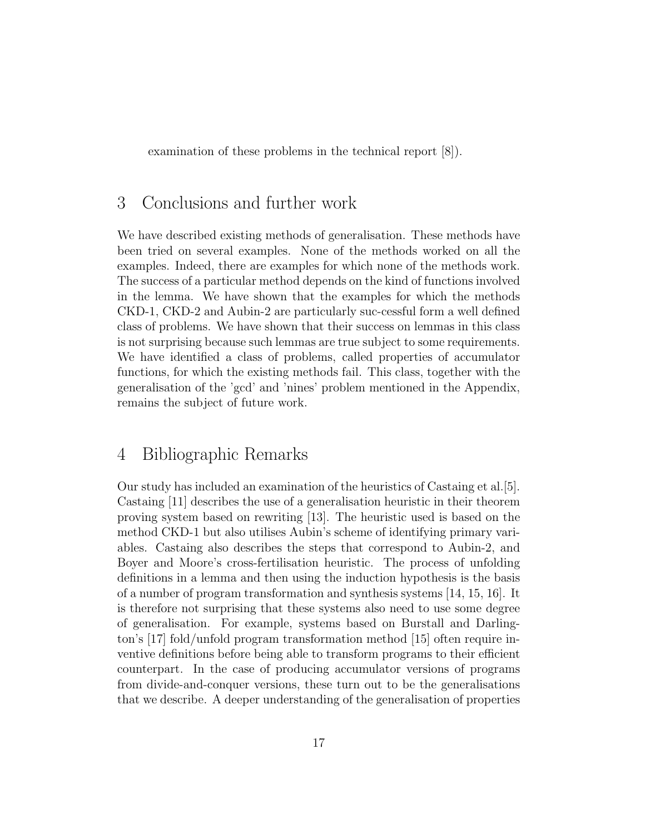examination of these problems in the technical report [8]).

## 3 Conclusions and further work

We have described existing methods of generalisation. These methods have been tried on several examples. None of the methods worked on all the examples. Indeed, there are examples for which none of the methods work. The success of a particular method depends on the kind of functions involved in the lemma. We have shown that the examples for which the methods CKD-1, CKD-2 and Aubin-2 are particularly suc-cessful form a well defined class of problems. We have shown that their success on lemmas in this class is not surprising because such lemmas are true subject to some requirements. We have identified a class of problems, called properties of accumulator functions, for which the existing methods fail. This class, together with the generalisation of the 'gcd' and 'nines' problem mentioned in the Appendix, remains the subject of future work.

## 4 Bibliographic Remarks

Our study has included an examination of the heuristics of Castaing et al.[5]. Castaing [11] describes the use of a generalisation heuristic in their theorem proving system based on rewriting [13]. The heuristic used is based on the method CKD-1 but also utilises Aubin's scheme of identifying primary variables. Castaing also describes the steps that correspond to Aubin-2, and Boyer and Moore's cross-fertilisation heuristic. The process of unfolding definitions in a lemma and then using the induction hypothesis is the basis of a number of program transformation and synthesis systems [14, 15, 16]. It is therefore not surprising that these systems also need to use some degree of generalisation. For example, systems based on Burstall and Darlington's [17] fold/unfold program transformation method [15] often require inventive definitions before being able to transform programs to their efficient counterpart. In the case of producing accumulator versions of programs from divide-and-conquer versions, these turn out to be the generalisations that we describe. A deeper understanding of the generalisation of properties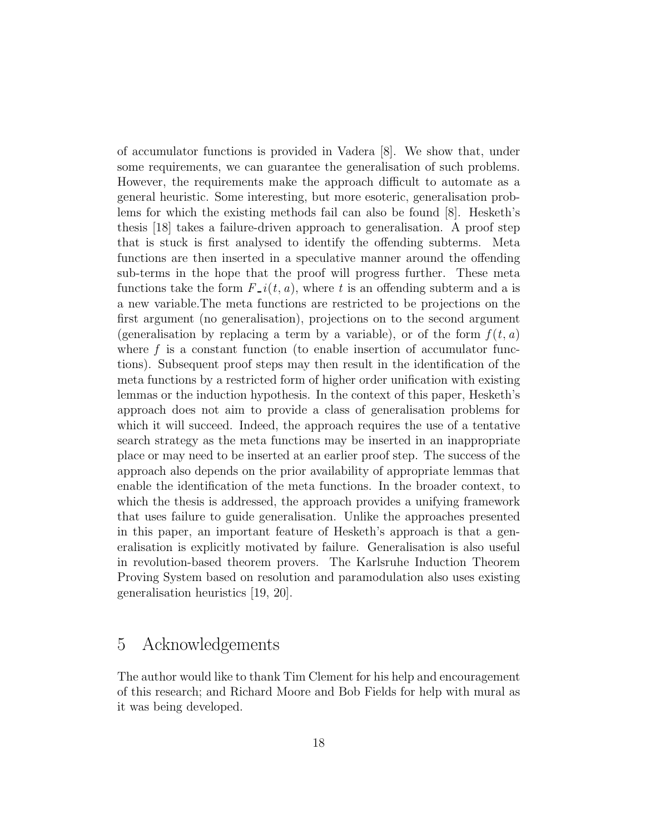of accumulator functions is provided in Vadera [8]. We show that, under some requirements, we can guarantee the generalisation of such problems. However, the requirements make the approach difficult to automate as a general heuristic. Some interesting, but more esoteric, generalisation problems for which the existing methods fail can also be found [8]. Hesketh's thesis [18] takes a failure-driven approach to generalisation. A proof step that is stuck is first analysed to identify the offending subterms. Meta functions are then inserted in a speculative manner around the offending sub-terms in the hope that the proof will progress further. These meta functions take the form  $F_{-i}(t, a)$ , where t is an offending subterm and a is a new variable.The meta functions are restricted to be projections on the first argument (no generalisation), projections on to the second argument (generalisation by replacing a term by a variable), or of the form  $f(t, a)$ where  $f$  is a constant function (to enable insertion of accumulator functions). Subsequent proof steps may then result in the identification of the meta functions by a restricted form of higher order unification with existing lemmas or the induction hypothesis. In the context of this paper, Hesketh's approach does not aim to provide a class of generalisation problems for which it will succeed. Indeed, the approach requires the use of a tentative search strategy as the meta functions may be inserted in an inappropriate place or may need to be inserted at an earlier proof step. The success of the approach also depends on the prior availability of appropriate lemmas that enable the identification of the meta functions. In the broader context, to which the thesis is addressed, the approach provides a unifying framework that uses failure to guide generalisation. Unlike the approaches presented in this paper, an important feature of Hesketh's approach is that a generalisation is explicitly motivated by failure. Generalisation is also useful in revolution-based theorem provers. The Karlsruhe Induction Theorem Proving System based on resolution and paramodulation also uses existing generalisation heuristics [19, 20].

## 5 Acknowledgements

The author would like to thank Tim Clement for his help and encouragement of this research; and Richard Moore and Bob Fields for help with mural as it was being developed.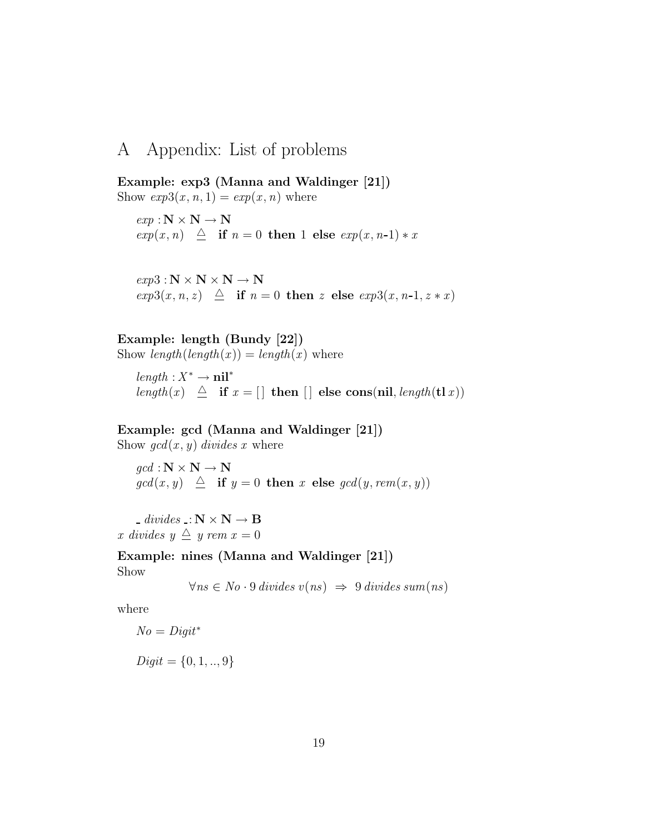## A Appendix: List of problems

Example: exp3 (Manna and Waldinger [21]) Show  $exp3(x, n, 1) = exp(x, n)$  where

 $exp : \mathbf{N} \times \mathbf{N} \rightarrow \mathbf{N}$  $exp(x, n) \triangleq$  if  $n = 0$  then 1 else  $exp(x, n-1) * x$ 

 $exp3: N \times N \times N \rightarrow N$  $exp3(x, n, z) \triangleq$  if  $n = 0$  then z else  $exp3(x, n-1, z * x)$ 

Example: length (Bundy [22])

Show  $length(lenath(x)) = length(x)$  where

 $length: X^* \to \textbf{nil}^*$ length(x)  $\triangleq$  if  $x = []$  then  $[]$  else cons(nil, length(tlx))

#### Example: gcd (Manna and Waldinger [21])

Show  $gcd(x, y)$  divides x where

 $\text{gcd}: \mathbf{N} \times \mathbf{N} \to \mathbf{N}$  $gcd(x, y) \triangleq$  if  $y = 0$  then x else  $gcd(y, rem(x, y))$ 

- divides  $\mathbf{N} \times \mathbf{N} \to \mathbf{B}$ x divides  $y \triangleq y$  rem  $x = 0$ 

Example: nines (Manna and Waldinger [21]) Show

 $\forall ns \in No \cdot 9 \; divides \; v(ns) \Rightarrow 9 \; divides \; sum(ns)$ 

where

$$
No = Digit^*
$$

 $Digit = \{0, 1, ..., 9\}$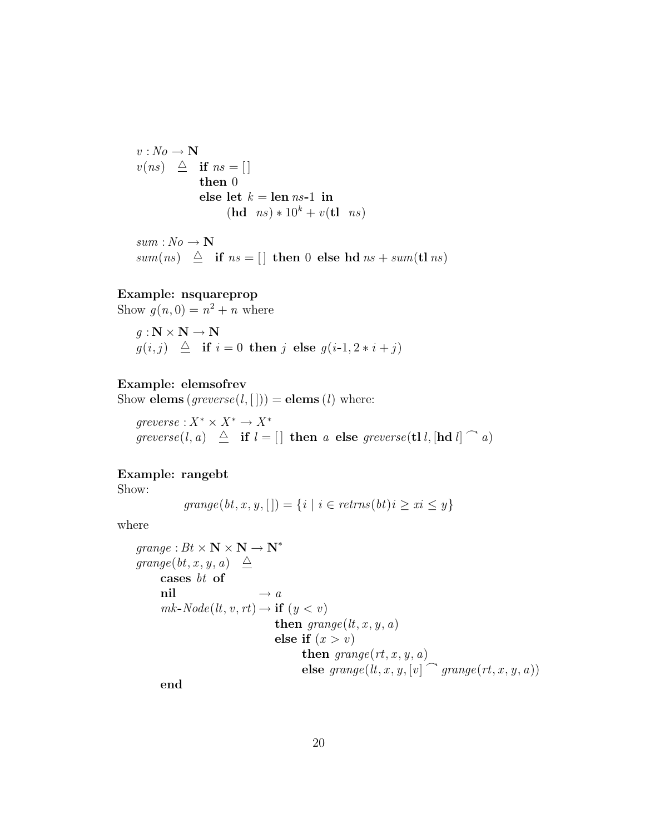$v: No \longrightarrow \mathbf{N}$  $v(ns) \triangleq$  if  $ns = []$ then 0 else let  $k = \text{len } ns-1$  in  $(hd \; ns) * 10^k + v(tl \; ns)$ 

 $sum : No \rightarrow \mathbf{N}$ sum(ns)  $\triangleq$  if ns = [] then 0 else hd ns + sum(tl ns)

#### Example: nsquareprop

Show  $g(n, 0) = n^2 + n$  where

$$
g: \mathbf{N} \times \mathbf{N} \to \mathbf{N}
$$
  

$$
g(i,j) \triangleq \text{if } i = 0 \text{ then } j \text{ else } g(i-1, 2*i+j)
$$

#### Example: elemsofrev

Show elems  $(greverse(l, [])) =$  elems  $(l)$  where:

 $greverse: X^* \times X^* \to X^*$ greverse $(l, a) \triangleq$  if  $l = []$  then a else greverse $(\text{tl } l, [\text{hd } l] \cap a)$ 

#### Example: rangebt

Show:

$$
grange(bt, x, y, [] = \{i \mid i \in returns(bt)i \geq xi \leq y\}
$$

where

$$
\begin{array}{l} \mathit{grange}: \mathit{Bt} \times \mathbf{N} \times \mathbf{N} \rightarrow \mathbf{N}^* \\ \mathit{grange}(\mathit{bt},x,y,a) \triangleq \\ \mathit{cases} \;\; \mathit{bt} \;\; \mathbf{of} \\ \quad \ \ \mathit{nil} \qquad \, \rightarrow a \\ \quad \ \ \mathit{mk-Node}(lt,v,rt) \rightarrow \mathbf{if} \; (y < v) \\ \quad \ \ \mathit{then} \; \mathit{grange}(lt,x,y,a) \\ \quad \ \ \mathit{else} \;\; \mathbf{if} \; (x > v) \\ \quad \ \ \mathit{then} \; \mathit{grange}(rt,x,y,a) \\ \quad \ \ \mathit{else} \;\; \mathit{grange}(lt,x,y,[v] \cap \mathit{grange}(rt,x,y,a)) \end{array}
$$

end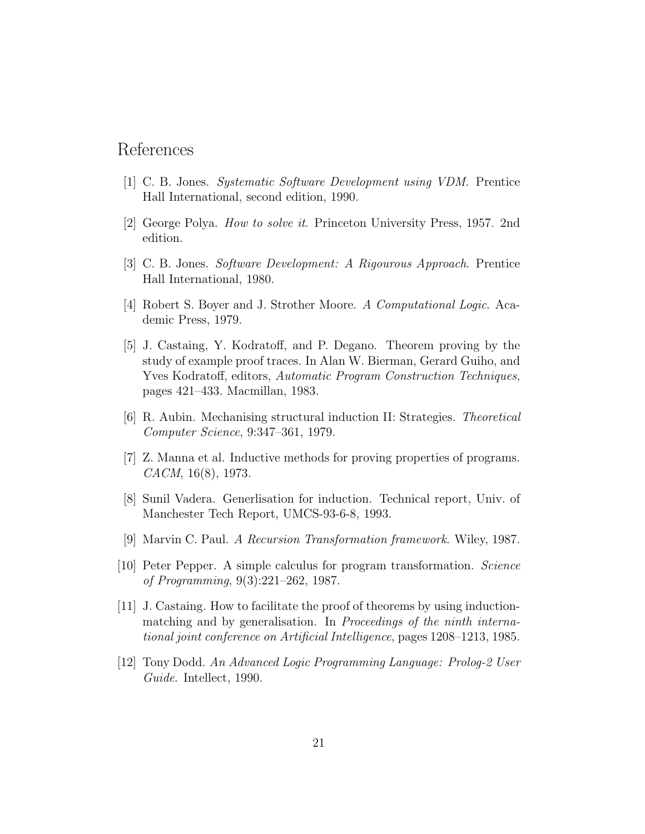## References

- [1] C. B. Jones. Systematic Software Development using VDM. Prentice Hall International, second edition, 1990.
- [2] George Polya. How to solve it. Princeton University Press, 1957. 2nd edition.
- [3] C. B. Jones. Software Development: A Rigourous Approach. Prentice Hall International, 1980.
- [4] Robert S. Boyer and J. Strother Moore. A Computational Logic. Academic Press, 1979.
- [5] J. Castaing, Y. Kodratoff, and P. Degano. Theorem proving by the study of example proof traces. In Alan W. Bierman, Gerard Guiho, and Yves Kodratoff, editors, Automatic Program Construction Techniques, pages 421–433. Macmillan, 1983.
- [6] R. Aubin. Mechanising structural induction II: Strategies. Theoretical Computer Science, 9:347–361, 1979.
- [7] Z. Manna et al. Inductive methods for proving properties of programs. CACM, 16(8), 1973.
- [8] Sunil Vadera. Generlisation for induction. Technical report, Univ. of Manchester Tech Report, UMCS-93-6-8, 1993.
- [9] Marvin C. Paul. A Recursion Transformation framework. Wiley, 1987.
- [10] Peter Pepper. A simple calculus for program transformation. Science of Programming, 9(3):221–262, 1987.
- [11] J. Castaing. How to facilitate the proof of theorems by using inductionmatching and by generalisation. In Proceedings of the ninth international joint conference on Artificial Intelligence, pages 1208–1213, 1985.
- [12] Tony Dodd. An Advanced Logic Programming Language: Prolog-2 User Guide. Intellect, 1990.